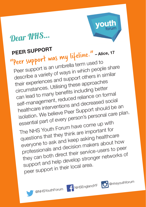## Dear NHS…

## **PEER SUPPORT**

"Peer support was my lifeline." **– Alice, <sup>17</sup>** Peer support is an umbrella term used to describe a variety of ways in which people share their experiences and support others in similar circumstances. Utilising these approaches can lead to many benefits including better self-management, reduced reliance on formal healthcare interventions and decreased social isolation. We believe Peer Support should be an essential part of every person's personal care plan. The NHS Youth Forum have come up with questions that they think are important for everyone to ask and keep asking healthcare professionals and decision makers about how they can both direct their service-users to peer support and help develop stronger networks of peer support in their local area.